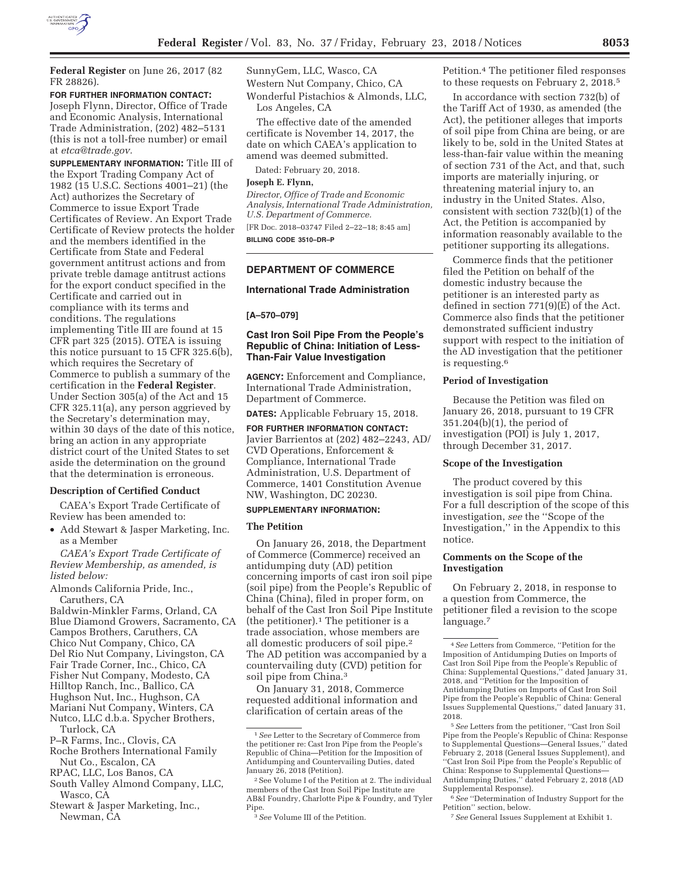

**Federal Register** on June 26, 2017 (82 FR 28826).

**FOR FURTHER INFORMATION CONTACT:**  Joseph Flynn, Director, Office of Trade and Economic Analysis, International Trade Administration, (202) 482–5131 (this is not a toll-free number) or email at *etca@trade.gov.* 

**SUPPLEMENTARY INFORMATION:** Title III of the Export Trading Company Act of 1982 (15 U.S.C. Sections 4001–21) (the Act) authorizes the Secretary of Commerce to issue Export Trade Certificates of Review. An Export Trade Certificate of Review protects the holder and the members identified in the Certificate from State and Federal government antitrust actions and from private treble damage antitrust actions for the export conduct specified in the Certificate and carried out in compliance with its terms and conditions. The regulations implementing Title III are found at 15 CFR part 325 (2015). OTEA is issuing this notice pursuant to 15 CFR 325.6(b), which requires the Secretary of Commerce to publish a summary of the certification in the **Federal Register**. Under Section 305(a) of the Act and 15 CFR 325.11(a), any person aggrieved by the Secretary's determination may, within 30 days of the date of this notice, bring an action in any appropriate district court of the United States to set aside the determination on the ground that the determination is erroneous.

#### **Description of Certified Conduct**

CAEA's Export Trade Certificate of Review has been amended to:

• Add Stewart & Jasper Marketing, Inc. as a Member

*CAEA's Export Trade Certificate of Review Membership, as amended, is listed below:* 

Almonds California Pride, Inc., Caruthers, CA

Baldwin-Minkler Farms, Orland, CA Blue Diamond Growers, Sacramento, CA Campos Brothers, Caruthers, CA Chico Nut Company, Chico, CA

- Del Rio Nut Company, Livingston, CA
- Fair Trade Corner, Inc., Chico, CA
- Fisher Nut Company, Modesto, CA
- Hilltop Ranch, Inc., Ballico, CA
- Hughson Nut, Inc., Hughson, CA Mariani Nut Company, Winters, CA
- Nutco, LLC d.b.a. Spycher Brothers, Turlock, CA
- P–R Farms, Inc., Clovis, CA
- Roche Brothers International Family Nut Co., Escalon, CA
- RPAC, LLC, Los Banos, CA
- South Valley Almond Company, LLC, Wasco, CA
- Stewart & Jasper Marketing, Inc., Newman, CA

SunnyGem, LLC, Wasco, CA Western Nut Company, Chico, CA Wonderful Pistachios & Almonds, LLC, Los Angeles, CA

The effective date of the amended certificate is November 14, 2017, the date on which CAEA's application to amend was deemed submitted.

Dated: February 20, 2018.

#### **Joseph E. Flynn,**

*Director, Office of Trade and Economic Analysis, International Trade Administration, U.S. Department of Commerce.*  [FR Doc. 2018–03747 Filed 2–22–18; 8:45 am] **BILLING CODE 3510–DR–P** 

# **DEPARTMENT OF COMMERCE**

#### **International Trade Administration**

## **[A–570–079]**

## **Cast Iron Soil Pipe From the People's Republic of China: Initiation of Less-Than-Fair Value Investigation**

**AGENCY:** Enforcement and Compliance, International Trade Administration, Department of Commerce.

**DATES:** Applicable February 15, 2018.

**FOR FURTHER INFORMATION CONTACT:**  Javier Barrientos at (202) 482–2243, AD/ CVD Operations, Enforcement & Compliance, International Trade Administration, U.S. Department of Commerce, 1401 Constitution Avenue NW, Washington, DC 20230.

#### **SUPPLEMENTARY INFORMATION:**

#### **The Petition**

On January 26, 2018, the Department of Commerce (Commerce) received an antidumping duty (AD) petition concerning imports of cast iron soil pipe (soil pipe) from the People's Republic of China (China), filed in proper form, on behalf of the Cast Iron Soil Pipe Institute (the petitioner).1 The petitioner is a trade association, whose members are all domestic producers of soil pipe.2 The AD petition was accompanied by a countervailing duty (CVD) petition for soil pipe from China.3

On January 31, 2018, Commerce requested additional information and clarification of certain areas of the

Petition.4 The petitioner filed responses to these requests on February 2, 2018.5

In accordance with section 732(b) of the Tariff Act of 1930, as amended (the Act), the petitioner alleges that imports of soil pipe from China are being, or are likely to be, sold in the United States at less-than-fair value within the meaning of section 731 of the Act, and that, such imports are materially injuring, or threatening material injury to, an industry in the United States. Also, consistent with section 732(b)(1) of the Act, the Petition is accompanied by information reasonably available to the petitioner supporting its allegations.

Commerce finds that the petitioner filed the Petition on behalf of the domestic industry because the petitioner is an interested party as defined in section 771(9)(E) of the Act. Commerce also finds that the petitioner demonstrated sufficient industry support with respect to the initiation of the AD investigation that the petitioner is requesting.6

## **Period of Investigation**

Because the Petition was filed on January 26, 2018, pursuant to 19 CFR 351.204(b)(1), the period of investigation (POI) is July 1, 2017, through December 31, 2017.

#### **Scope of the Investigation**

The product covered by this investigation is soil pipe from China. For a full description of the scope of this investigation, *see* the ''Scope of the Investigation,'' in the Appendix to this notice.

## **Comments on the Scope of the Investigation**

On February 2, 2018, in response to a question from Commerce, the petitioner filed a revision to the scope language.7

6*See* ''Determination of Industry Support for the Petition'' section, below.

7*See* General Issues Supplement at Exhibit 1.

<sup>1</sup>*See* Letter to the Secretary of Commerce from the petitioner re: Cast Iron Pipe from the People's Republic of China—Petition for the Imposition of Antidumping and Countervailing Duties, dated January 26, 2018 (Petition).

<sup>2</sup>See Volume I of the Petition at 2. The individual members of the Cast Iron Soil Pipe Institute are AB&I Foundry, Charlotte Pipe & Foundry, and Tyler Pipe.

<sup>3</sup>*See* Volume III of the Petition.

<sup>4</sup>*See* Letters from Commerce, ''Petition for the Imposition of Antidumping Duties on Imports of Cast Iron Soil Pipe from the People's Republic of China: Supplemental Questions,'' dated January 31, 2018, and ''Petition for the Imposition of Antidumping Duties on Imports of Cast Iron Soil Pipe from the People's Republic of China: General Issues Supplemental Questions,'' dated January 31, 2018.

<sup>5</sup>*See* Letters from the petitioner, ''Cast Iron Soil Pipe from the People's Republic of China: Response to Supplemental Questions—General Issues,'' dated February 2, 2018 (General Issues Supplement), and 'Cast Iron Soil Pipe from the People's Republic of China: Response to Supplemental Questions— Antidumping Duties,'' dated February 2, 2018 (AD Supplemental Response).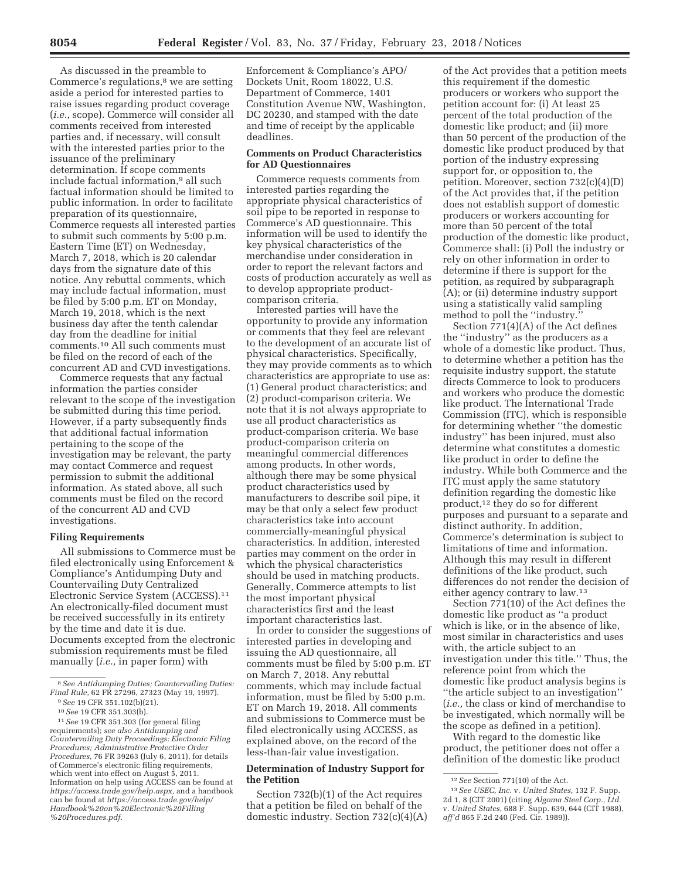As discussed in the preamble to Commerce's regulations,<sup>8</sup> we are setting aside a period for interested parties to raise issues regarding product coverage (*i.e.,* scope). Commerce will consider all comments received from interested parties and, if necessary, will consult with the interested parties prior to the issuance of the preliminary determination. If scope comments include factual information,<sup>9</sup> all such factual information should be limited to public information. In order to facilitate preparation of its questionnaire, Commerce requests all interested parties to submit such comments by 5:00 p.m. Eastern Time (ET) on Wednesday, March 7, 2018, which is 20 calendar days from the signature date of this notice. Any rebuttal comments, which may include factual information, must be filed by 5:00 p.m. ET on Monday, March 19, 2018, which is the next business day after the tenth calendar day from the deadline for initial comments.10 All such comments must be filed on the record of each of the concurrent AD and CVD investigations.

Commerce requests that any factual information the parties consider relevant to the scope of the investigation be submitted during this time period. However, if a party subsequently finds that additional factual information pertaining to the scope of the investigation may be relevant, the party may contact Commerce and request permission to submit the additional information. As stated above, all such comments must be filed on the record of the concurrent AD and CVD investigations.

## **Filing Requirements**

All submissions to Commerce must be filed electronically using Enforcement & Compliance's Antidumping Duty and Countervailing Duty Centralized Electronic Service System (ACCESS).11 An electronically-filed document must be received successfully in its entirety by the time and date it is due. Documents excepted from the electronic submission requirements must be filed manually (*i.e.,* in paper form) with

Enforcement & Compliance's APO/ Dockets Unit, Room 18022, U.S. Department of Commerce, 1401 Constitution Avenue NW, Washington, DC 20230, and stamped with the date and time of receipt by the applicable deadlines.

## **Comments on Product Characteristics for AD Questionnaires**

Commerce requests comments from interested parties regarding the appropriate physical characteristics of soil pipe to be reported in response to Commerce's AD questionnaire. This information will be used to identify the key physical characteristics of the merchandise under consideration in order to report the relevant factors and costs of production accurately as well as to develop appropriate productcomparison criteria.

Interested parties will have the opportunity to provide any information or comments that they feel are relevant to the development of an accurate list of physical characteristics. Specifically, they may provide comments as to which characteristics are appropriate to use as: (1) General product characteristics; and (2) product-comparison criteria. We note that it is not always appropriate to use all product characteristics as product-comparison criteria. We base product-comparison criteria on meaningful commercial differences among products. In other words, although there may be some physical product characteristics used by manufacturers to describe soil pipe, it may be that only a select few product characteristics take into account commercially-meaningful physical characteristics. In addition, interested parties may comment on the order in which the physical characteristics should be used in matching products. Generally, Commerce attempts to list the most important physical characteristics first and the least important characteristics last.

In order to consider the suggestions of interested parties in developing and issuing the AD questionnaire, all comments must be filed by 5:00 p.m. ET on March 7, 2018. Any rebuttal comments, which may include factual information, must be filed by 5:00 p.m. ET on March 19, 2018. All comments and submissions to Commerce must be filed electronically using ACCESS, as explained above, on the record of the less-than-fair value investigation.

#### **Determination of Industry Support for the Petition**

Section 732(b)(1) of the Act requires that a petition be filed on behalf of the domestic industry. Section 732(c)(4)(A)

of the Act provides that a petition meets this requirement if the domestic producers or workers who support the petition account for: (i) At least 25 percent of the total production of the domestic like product; and (ii) more than 50 percent of the production of the domestic like product produced by that portion of the industry expressing support for, or opposition to, the petition. Moreover, section 732(c)(4)(D) of the Act provides that, if the petition does not establish support of domestic producers or workers accounting for more than 50 percent of the total production of the domestic like product, Commerce shall: (i) Poll the industry or rely on other information in order to determine if there is support for the petition, as required by subparagraph (A); or (ii) determine industry support using a statistically valid sampling method to poll the "industry."

Section 771(4)(A) of the Act defines the ''industry'' as the producers as a whole of a domestic like product. Thus, to determine whether a petition has the requisite industry support, the statute directs Commerce to look to producers and workers who produce the domestic like product. The International Trade Commission (ITC), which is responsible for determining whether ''the domestic industry'' has been injured, must also determine what constitutes a domestic like product in order to define the industry. While both Commerce and the ITC must apply the same statutory definition regarding the domestic like product,12 they do so for different purposes and pursuant to a separate and distinct authority. In addition, Commerce's determination is subject to limitations of time and information. Although this may result in different definitions of the like product, such differences do not render the decision of either agency contrary to law.13

Section 771(10) of the Act defines the domestic like product as ''a product which is like, or in the absence of like, most similar in characteristics and uses with, the article subject to an investigation under this title.'' Thus, the reference point from which the domestic like product analysis begins is ''the article subject to an investigation'' (*i.e.,* the class or kind of merchandise to be investigated, which normally will be the scope as defined in a petition).

With regard to the domestic like product, the petitioner does not offer a definition of the domestic like product

<sup>8</sup>*See Antidumping Duties; Countervailing Duties:* 

*Fimal Rule*, *PR FR 351.102*(b)(21).<br> *<sup>10</sup> See* 19 CFR 351.303(b).<br>
<sup>11</sup> See 19 CFR 351.303 (for general filing

requirements); *see also Antidumping and Countervailing Duty Proceedings: Electronic Filing Procedures; Administrative Protective Order Procedures,* 76 FR 39263 (July 6, 2011), for details of Commerce's electronic filing requirements, which went into effect on August 5, 2011. Information on help using ACCESS can be found at *https://access.trade.gov/help.aspx,* and a handbook can be found at *https://access.trade.gov/help/ Handbook%20on%20Electronic%20Filling %20Procedures.pdf.* 

<sup>12</sup>*See* Section 771(10) of the Act.

<sup>13</sup>*See USEC, Inc.* v. *United States,* 132 F. Supp. 2d 1, 8 (CIT 2001) (citing *Algoma Steel Corp., Ltd.*  v. *United States,* 688 F. Supp. 639, 644 (CIT 1988), *aff'd* 865 F.2d 240 (Fed. Cir. 1989)).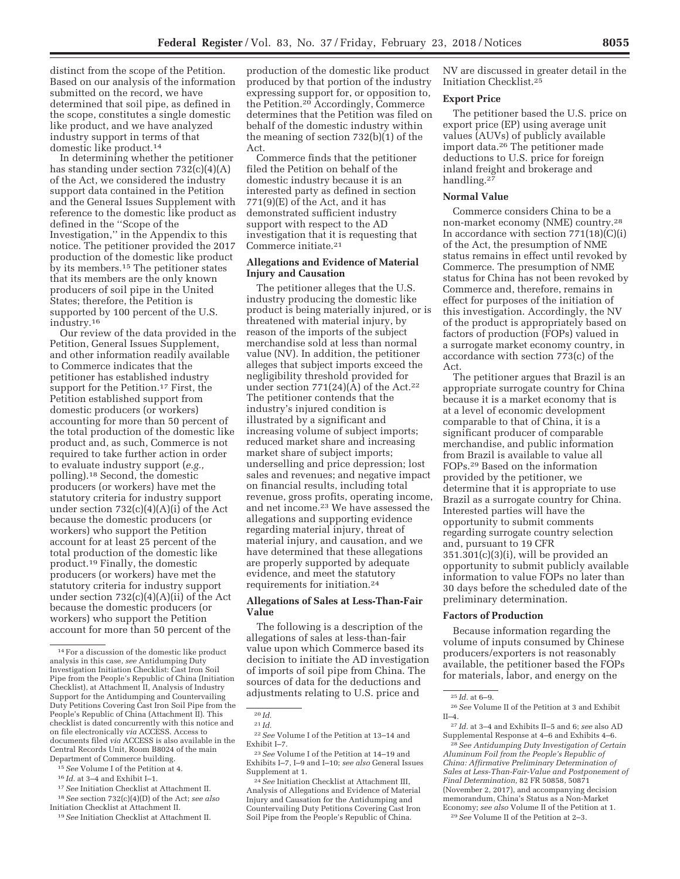distinct from the scope of the Petition. Based on our analysis of the information submitted on the record, we have determined that soil pipe, as defined in the scope, constitutes a single domestic like product, and we have analyzed industry support in terms of that domestic like product.14

In determining whether the petitioner has standing under section  $732(c)(4)(A)$ of the Act, we considered the industry support data contained in the Petition and the General Issues Supplement with reference to the domestic like product as defined in the ''Scope of the Investigation,'' in the Appendix to this notice. The petitioner provided the 2017 production of the domestic like product by its members.15 The petitioner states that its members are the only known producers of soil pipe in the United States; therefore, the Petition is supported by 100 percent of the U.S. industry.16

Our review of the data provided in the Petition, General Issues Supplement, and other information readily available to Commerce indicates that the petitioner has established industry support for the Petition.<sup>17</sup> First, the Petition established support from domestic producers (or workers) accounting for more than 50 percent of the total production of the domestic like product and, as such, Commerce is not required to take further action in order to evaluate industry support (*e.g.,*  polling).18 Second, the domestic producers (or workers) have met the statutory criteria for industry support under section 732(c)(4)(A)(i) of the Act because the domestic producers (or workers) who support the Petition account for at least 25 percent of the total production of the domestic like product.19 Finally, the domestic producers (or workers) have met the statutory criteria for industry support under section 732(c)(4)(A)(ii) of the Act because the domestic producers (or workers) who support the Petition account for more than 50 percent of the

15*See* Volume I of the Petition at 4.

- 17*See* Initiation Checklist at Attachment II.
- 18*See* section 732(c)(4)(D) of the Act; *see also*

production of the domestic like product produced by that portion of the industry expressing support for, or opposition to, the Petition.20 Accordingly, Commerce determines that the Petition was filed on behalf of the domestic industry within the meaning of section 732(b)(1) of the Act.

Commerce finds that the petitioner filed the Petition on behalf of the domestic industry because it is an interested party as defined in section 771(9)(E) of the Act, and it has demonstrated sufficient industry support with respect to the AD investigation that it is requesting that Commerce initiate.21

## **Allegations and Evidence of Material Injury and Causation**

The petitioner alleges that the U.S. industry producing the domestic like product is being materially injured, or is threatened with material injury, by reason of the imports of the subject merchandise sold at less than normal value (NV). In addition, the petitioner alleges that subject imports exceed the negligibility threshold provided for under section  $771(24)(A)$  of the Act.<sup>22</sup> The petitioner contends that the industry's injured condition is illustrated by a significant and increasing volume of subject imports; reduced market share and increasing market share of subject imports; underselling and price depression; lost sales and revenues; and negative impact on financial results, including total revenue, gross profits, operating income, and net income.23 We have assessed the allegations and supporting evidence regarding material injury, threat of material injury, and causation, and we have determined that these allegations are properly supported by adequate evidence, and meet the statutory requirements for initiation.24

## **Allegations of Sales at Less-Than-Fair Value**

The following is a description of the allegations of sales at less-than-fair value upon which Commerce based its decision to initiate the AD investigation of imports of soil pipe from China. The sources of data for the deductions and adjustments relating to U.S. price and

NV are discussed in greater detail in the Initiation Checklist.25

## **Export Price**

The petitioner based the U.S. price on export price (EP) using average unit values (AUVs) of publicly available import data.26 The petitioner made deductions to U.S. price for foreign inland freight and brokerage and handling.27

#### **Normal Value**

Commerce considers China to be a non-market economy (NME) country.28 In accordance with section  $771(18)(C)(i)$ of the Act, the presumption of NME status remains in effect until revoked by Commerce. The presumption of NME status for China has not been revoked by Commerce and, therefore, remains in effect for purposes of the initiation of this investigation. Accordingly, the NV of the product is appropriately based on factors of production (FOPs) valued in a surrogate market economy country, in accordance with section 773(c) of the Act.

The petitioner argues that Brazil is an appropriate surrogate country for China because it is a market economy that is at a level of economic development comparable to that of China, it is a significant producer of comparable merchandise, and public information from Brazil is available to value all FOPs.29 Based on the information provided by the petitioner, we determine that it is appropriate to use Brazil as a surrogate country for China. Interested parties will have the opportunity to submit comments regarding surrogate country selection and, pursuant to 19 CFR  $351.301(c)(3)(i)$ , will be provided an opportunity to submit publicly available information to value FOPs no later than 30 days before the scheduled date of the preliminary determination.

#### **Factors of Production**

Because information regarding the volume of inputs consumed by Chinese producers/exporters is not reasonably available, the petitioner based the FOPs for materials, labor, and energy on the

<sup>14</sup>For a discussion of the domestic like product analysis in this case, *see* Antidumping Duty Investigation Initiation Checklist: Cast Iron Soil Pipe from the People's Republic of China (Initiation Checklist), at Attachment II, Analysis of Industry Support for the Antidumping and Countervailing Duty Petitions Covering Cast Iron Soil Pipe from the People's Republic of China (Attachment II). This checklist is dated concurrently with this notice and on file electronically *via* ACCESS. Access to documents filed *via* ACCESS is also available in the Central Records Unit, Room B8024 of the main Department of Commerce building.

<sup>16</sup> *Id.* at 3–4 and Exhibit I–1.

Initiation Checklist at Attachment II. 19*See* Initiation Checklist at Attachment II.

<sup>20</sup> *Id.* 

 $\ensuremath{^{21} \, \mathrm{Id}}.$ 

<sup>22</sup>*See* Volume I of the Petition at 13–14 and Exhibit I–7.

<sup>23</sup>*See* Volume I of the Petition at 14–19 and Exhibits I–7, I–9 and I–10; *see also* General Issues Supplement at 1.

<sup>24</sup>*See* Initiation Checklist at Attachment III, Analysis of Allegations and Evidence of Material Injury and Causation for the Antidumping and Countervailing Duty Petitions Covering Cast Iron Soil Pipe from the People's Republic of China.

<sup>25</sup> *Id.* at 6–9.

<sup>26</sup>*See* Volume II of the Petition at 3 and Exhibit II–4.

<sup>27</sup> *Id.* at 3–4 and Exhibits II–5 and 6; *see* also AD Supplemental Response at 4–6 and Exhibits 4–6.

<sup>28</sup>*See Antidumping Duty Investigation of Certain Aluminum Foil from the People's Republic of China: Affirmative Preliminary Determination of Sales at Less-Than-Fair-Value and Postponement of Final Determination,* 82 FR 50858, 50871 (November 2, 2017), and accompanying decision memorandum, China's Status as a Non-Market Economy; *see also* Volume II of the Petition at 1. 29*See* Volume II of the Petition at 2–3.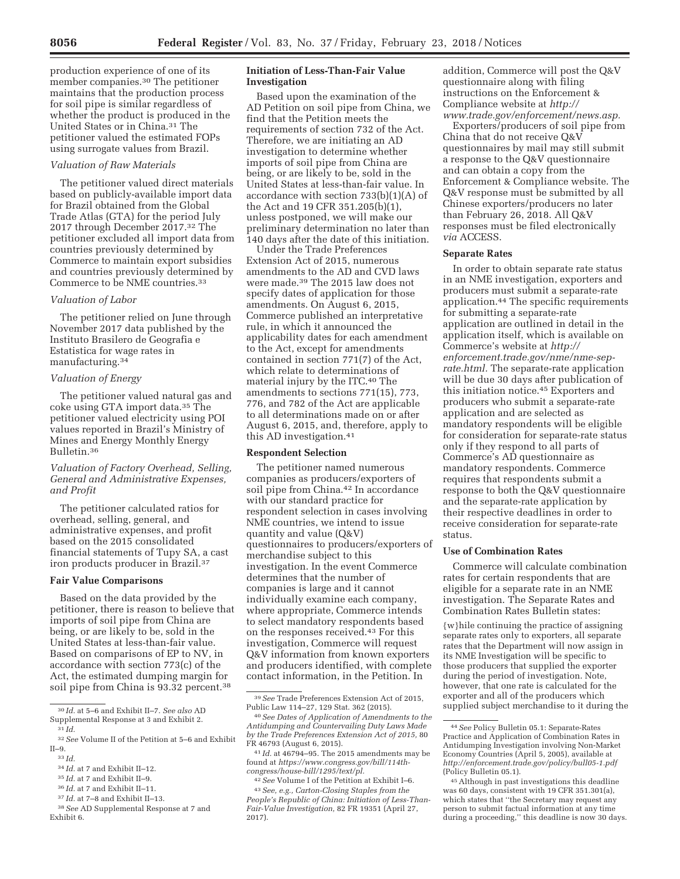production experience of one of its member companies.30 The petitioner maintains that the production process for soil pipe is similar regardless of whether the product is produced in the United States or in China.31 The petitioner valued the estimated FOPs using surrogate values from Brazil.

## *Valuation of Raw Materials*

The petitioner valued direct materials based on publicly-available import data for Brazil obtained from the Global Trade Atlas (GTA) for the period July 2017 through December 2017.32 The petitioner excluded all import data from countries previously determined by Commerce to maintain export subsidies and countries previously determined by Commerce to be NME countries.33

### *Valuation of Labor*

The petitioner relied on June through November 2017 data published by the Instituto Brasilero de Geografia e Estatistica for wage rates in manufacturing.34

# *Valuation of Energy*

The petitioner valued natural gas and coke using GTA import data.35 The petitioner valued electricity using POI values reported in Brazil's Ministry of Mines and Energy Monthly Energy Bulletin.36

## *Valuation of Factory Overhead, Selling, General and Administrative Expenses, and Profit*

The petitioner calculated ratios for overhead, selling, general, and administrative expenses, and profit based on the 2015 consolidated financial statements of Tupy SA, a cast iron products producer in Brazil.37

#### **Fair Value Comparisons**

Based on the data provided by the petitioner, there is reason to believe that imports of soil pipe from China are being, or are likely to be, sold in the United States at less-than-fair value. Based on comparisons of EP to NV, in accordance with section 773(c) of the Act, the estimated dumping margin for soil pipe from China is 93.32 percent.<sup>38</sup>

## **Initiation of Less-Than-Fair Value Investigation**

Based upon the examination of the AD Petition on soil pipe from China, we find that the Petition meets the requirements of section 732 of the Act. Therefore, we are initiating an AD investigation to determine whether imports of soil pipe from China are being, or are likely to be, sold in the United States at less-than-fair value. In accordance with section 733(b)(1)(A) of the Act and 19 CFR 351.205(b)(1), unless postponed, we will make our preliminary determination no later than 140 days after the date of this initiation.

Under the Trade Preferences Extension Act of 2015, numerous amendments to the AD and CVD laws were made.39 The 2015 law does not specify dates of application for those amendments. On August 6, 2015, Commerce published an interpretative rule, in which it announced the applicability dates for each amendment to the Act, except for amendments contained in section 771(7) of the Act, which relate to determinations of material injury by the ITC.40 The amendments to sections 771(15), 773, 776, and 782 of the Act are applicable to all determinations made on or after August 6, 2015, and, therefore, apply to this AD investigation.41

#### **Respondent Selection**

The petitioner named numerous companies as producers/exporters of soil pipe from China.<sup>42</sup> In accordance with our standard practice for respondent selection in cases involving NME countries, we intend to issue quantity and value (Q&V) questionnaires to producers/exporters of merchandise subject to this investigation. In the event Commerce determines that the number of companies is large and it cannot individually examine each company, where appropriate, Commerce intends to select mandatory respondents based on the responses received.43 For this investigation, Commerce will request Q&V information from known exporters and producers identified, with complete contact information, in the Petition. In

addition, Commerce will post the Q&V questionnaire along with filing instructions on the Enforcement & Compliance website at *http:// www.trade.gov/enforcement/news.asp.* 

Exporters/producers of soil pipe from China that do not receive Q&V questionnaires by mail may still submit a response to the Q&V questionnaire and can obtain a copy from the Enforcement & Compliance website. The Q&V response must be submitted by all Chinese exporters/producers no later than February 26, 2018. All Q&V responses must be filed electronically *via* ACCESS.

## **Separate Rates**

In order to obtain separate rate status in an NME investigation, exporters and producers must submit a separate-rate application.44 The specific requirements for submitting a separate-rate application are outlined in detail in the application itself, which is available on Commerce's website at *http:// enforcement.trade.gov/nme/nme-seprate.html.* The separate-rate application will be due 30 days after publication of this initiation notice.45 Exporters and producers who submit a separate-rate application and are selected as mandatory respondents will be eligible for consideration for separate-rate status only if they respond to all parts of Commerce's AD questionnaire as mandatory respondents. Commerce requires that respondents submit a response to both the Q&V questionnaire and the separate-rate application by their respective deadlines in order to receive consideration for separate-rate status.

#### **Use of Combination Rates**

Commerce will calculate combination rates for certain respondents that are eligible for a separate rate in an NME investigation. The Separate Rates and Combination Rates Bulletin states:

{w}hile continuing the practice of assigning separate rates only to exporters, all separate rates that the Department will now assign in its NME Investigation will be specific to those producers that supplied the exporter during the period of investigation. Note, however, that one rate is calculated for the exporter and all of the producers which supplied subject merchandise to it during the

<sup>30</sup> *Id.* at 5–6 and Exhibit II–7. *See also* AD Supplemental Response at 3 and Exhibit 2.

<sup>31</sup> *Id.* 

<sup>32</sup>*See* Volume II of the Petition at 5–6 and Exhibit II–9.

<sup>33</sup> *Id.* 

<sup>34</sup> *Id.* at 7 and Exhibit II–12.

<sup>35</sup> *Id.* at 7 and Exhibit II–9.

<sup>36</sup> *Id.* at 7 and Exhibit II–11.

 $^{37}$   $\mathit{Id}.$  at 7–8 and Exhibit II–13.

<sup>38</sup>*See* AD Supplemental Response at 7 and Exhibit 6.

<sup>39</sup>*See* Trade Preferences Extension Act of 2015, Public Law 114–27, 129 Stat. 362 (2015).

<sup>40</sup>*See Dates of Application of Amendments to the Antidumping and Countervailing Duty Laws Made by the Trade Preferences Extension Act of 2015,* 80 FR 46793 (August 6, 2015).

<sup>41</sup> *Id.* at 46794–95. The 2015 amendments may be found at *https://www.congress.gov/bill/114thcongress/house-bill/1295/text/pl.* 

<sup>42</sup>*See* Volume I of the Petition at Exhibit I–6.

<sup>43</sup>*See, e.g., Carton-Closing Staples from the People's Republic of China: Initiation of Less-Than-Fair-Value Investigation,* 82 FR 19351 (April 27, 2017).

<sup>44</sup>*See* Policy Bulletin 05.1: Separate-Rates Practice and Application of Combination Rates in Antidumping Investigation involving Non-Market Economy Countries (April 5, 2005), available at *http://enforcement.trade.gov/policy/bull05-1.pdf*  (Policy Bulletin 05.1).

<sup>45</sup>Although in past investigations this deadline was 60 days, consistent with 19 CFR 351.301(a), which states that ''the Secretary may request any person to submit factual information at any time during a proceeding,'' this deadline is now 30 days.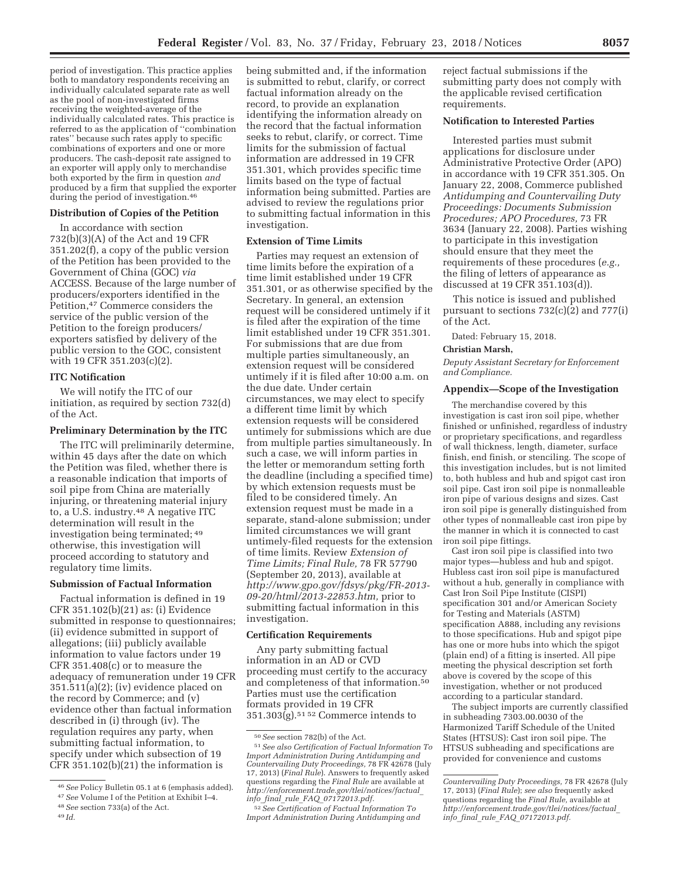period of investigation. This practice applies both to mandatory respondents receiving an individually calculated separate rate as well as the pool of non-investigated firms receiving the weighted-average of the individually calculated rates. This practice is referred to as the application of ''combination rates'' because such rates apply to specific combinations of exporters and one or more producers. The cash-deposit rate assigned to an exporter will apply only to merchandise both exported by the firm in question *and*  produced by a firm that supplied the exporter during the period of investigation.46

#### **Distribution of Copies of the Petition**

In accordance with section 732(b)(3)(A) of the Act and 19 CFR 351.202(f), a copy of the public version of the Petition has been provided to the Government of China (GOC) *via*  ACCESS. Because of the large number of producers/exporters identified in the Petition,47 Commerce considers the service of the public version of the Petition to the foreign producers/ exporters satisfied by delivery of the public version to the GOC, consistent with 19 CFR 351.203(c)(2).

#### **ITC Notification**

We will notify the ITC of our initiation, as required by section 732(d) of the Act.

## **Preliminary Determination by the ITC**

The ITC will preliminarily determine, within 45 days after the date on which the Petition was filed, whether there is a reasonable indication that imports of soil pipe from China are materially injuring, or threatening material injury to, a U.S. industry.48 A negative ITC determination will result in the investigation being terminated; 49 otherwise, this investigation will proceed according to statutory and regulatory time limits.

#### **Submission of Factual Information**

Factual information is defined in 19 CFR 351.102(b)(21) as: (i) Evidence submitted in response to questionnaires; (ii) evidence submitted in support of allegations; (iii) publicly available information to value factors under 19 CFR 351.408(c) or to measure the adequacy of remuneration under 19 CFR 351.511(a)(2); (iv) evidence placed on the record by Commerce; and (v) evidence other than factual information described in (i) through (iv). The regulation requires any party, when submitting factual information, to specify under which subsection of 19 CFR  $351.102(b)(21)$  the information is

being submitted and, if the information is submitted to rebut, clarify, or correct factual information already on the record, to provide an explanation identifying the information already on the record that the factual information seeks to rebut, clarify, or correct. Time limits for the submission of factual information are addressed in 19 CFR 351.301, which provides specific time limits based on the type of factual information being submitted. Parties are advised to review the regulations prior to submitting factual information in this investigation.

#### **Extension of Time Limits**

Parties may request an extension of time limits before the expiration of a time limit established under 19 CFR 351.301, or as otherwise specified by the Secretary. In general, an extension request will be considered untimely if it is filed after the expiration of the time limit established under 19 CFR 351.301. For submissions that are due from multiple parties simultaneously, an extension request will be considered untimely if it is filed after 10:00 a.m. on the due date. Under certain circumstances, we may elect to specify a different time limit by which extension requests will be considered untimely for submissions which are due from multiple parties simultaneously. In such a case, we will inform parties in the letter or memorandum setting forth the deadline (including a specified time) by which extension requests must be filed to be considered timely. An extension request must be made in a separate, stand-alone submission; under limited circumstances we will grant untimely-filed requests for the extension of time limits. Review *Extension of Time Limits; Final Rule,* 78 FR 57790 (September 20, 2013), available at *http://www.gpo.gov/fdsys/pkg/FR-2013- 09-20/html/2013-22853.htm,* prior to submitting factual information in this investigation.

## **Certification Requirements**

Any party submitting factual information in an AD or CVD proceeding must certify to the accuracy and completeness of that information.50 Parties must use the certification formats provided in 19 CFR  $351.303(g).$ <sup>51 52</sup> Commerce intends to

reject factual submissions if the submitting party does not comply with the applicable revised certification requirements.

#### **Notification to Interested Parties**

Interested parties must submit applications for disclosure under Administrative Protective Order (APO) in accordance with 19 CFR 351.305. On January 22, 2008, Commerce published *Antidumping and Countervailing Duty Proceedings: Documents Submission Procedures; APO Procedures,* 73 FR 3634 (January 22, 2008). Parties wishing to participate in this investigation should ensure that they meet the requirements of these procedures (*e.g.,*  the filing of letters of appearance as discussed at 19 CFR 351.103(d)).

This notice is issued and published pursuant to sections 732(c)(2) and 777(i) of the Act.

Dated: February 15, 2018.

# **Christian Marsh,**

*Deputy Assistant Secretary for Enforcement and Compliance.* 

## **Appendix—Scope of the Investigation**

The merchandise covered by this investigation is cast iron soil pipe, whether finished or unfinished, regardless of industry or proprietary specifications, and regardless of wall thickness, length, diameter, surface finish, end finish, or stenciling. The scope of this investigation includes, but is not limited to, both hubless and hub and spigot cast iron soil pipe. Cast iron soil pipe is nonmalleable iron pipe of various designs and sizes. Cast iron soil pipe is generally distinguished from other types of nonmalleable cast iron pipe by the manner in which it is connected to cast iron soil pipe fittings.

Cast iron soil pipe is classified into two major types—hubless and hub and spigot. Hubless cast iron soil pipe is manufactured without a hub, generally in compliance with Cast Iron Soil Pipe Institute (CISPI) specification 301 and/or American Society for Testing and Materials (ASTM) specification A888, including any revisions to those specifications. Hub and spigot pipe has one or more hubs into which the spigot (plain end) of a fitting is inserted. All pipe meeting the physical description set forth above is covered by the scope of this investigation, whether or not produced according to a particular standard.

The subject imports are currently classified in subheading 7303.00.0030 of the Harmonized Tariff Schedule of the United States (HTSUS): Cast iron soil pipe. The HTSUS subheading and specifications are provided for convenience and customs

<sup>46</sup>*See* Policy Bulletin 05.1 at 6 (emphasis added).

<sup>47</sup>*See* Volume I of the Petition at Exhibit I–4.

<sup>48</sup>*See* section 733(a) of the Act. 49 *Id.* 

<sup>50</sup>*See* section 782(b) of the Act. 51*See also Certification of Factual Information To Import Administration During Antidumping and Countervailing Duty Proceedings,* 78 FR 42678 (July 17, 2013) (*Final Rule*). Answers to frequently asked questions regarding the *Final Rule* are available at *http://enforcement.trade.gov/tlei/notices/factual*\_ *info*\_*final*\_*rule*\_*FAQ*\_*07172013.pdf.* 

<sup>52</sup>*See Certification of Factual Information To Import Administration During Antidumping and* 

*Countervailing Duty Proceedings,* 78 FR 42678 (July 17, 2013) (*Final Rule*); *see also* frequently asked questions regarding the *Final Rule,* available at *http://enforcement.trade.gov/tlei/notices/factual*\_ *info*\_*final*\_*rule*\_*FAQ*\_*07172013.pdf.*